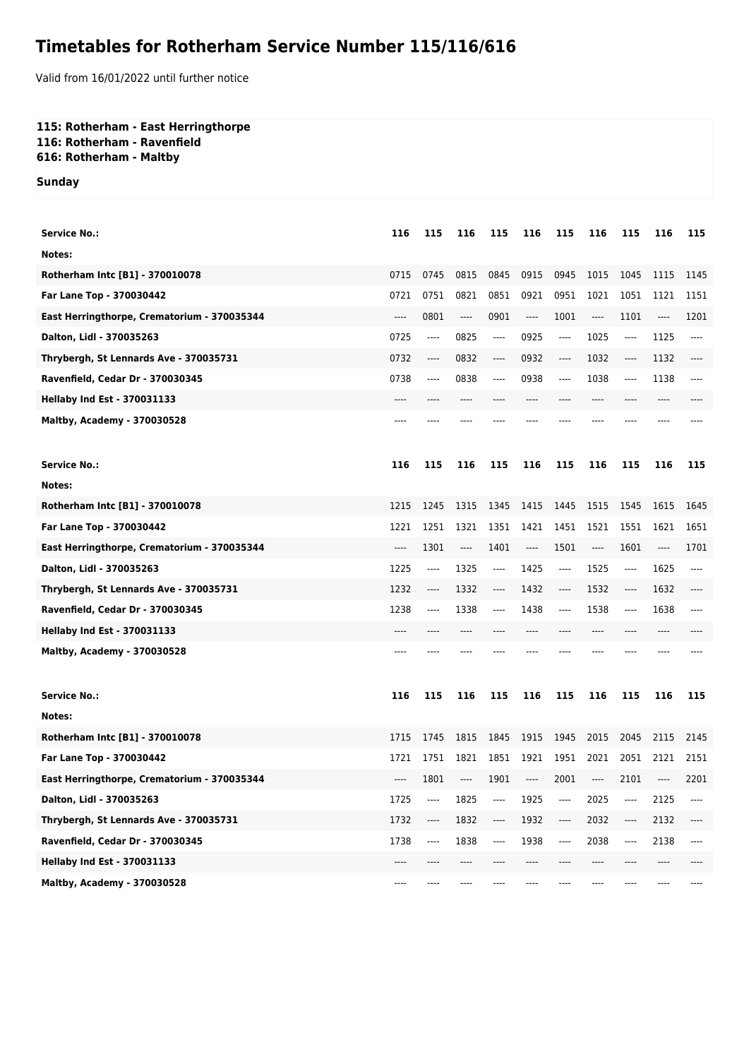## **Timetables for Rotherham Service Number 115/116/616**

Valid from 16/01/2022 until further notice

## **115: Rotherham - East Herringthorpe 116: Rotherham - Ravenfield**

**616: Rotherham - Maltby**

## **Sunday**

| <b>Service No.:</b>                         | 116  | 115  | 116      | 115  | 116                           | 115                           | 116  | 115                           | 116  | 115  |
|---------------------------------------------|------|------|----------|------|-------------------------------|-------------------------------|------|-------------------------------|------|------|
| Notes:                                      |      |      |          |      |                               |                               |      |                               |      |      |
| Rotherham Intc [B1] - 370010078             | 0715 | 0745 | 0815     | 0845 | 0915                          | 0945                          | 1015 | 1045                          | 1115 | 1145 |
| Far Lane Top - 370030442                    | 0721 | 0751 | 0821     | 0851 | 0921                          | 0951                          | 1021 | 1051                          | 1121 | 1151 |
| East Herringthorpe, Crematorium - 370035344 | ---- | 0801 | $\cdots$ | 0901 | $---$                         | 1001                          | ---- | 1101                          | ---- | 1201 |
| Dalton, Lidl - 370035263                    | 0725 | ---- | 0825     | ---- | 0925                          | $\cdots$                      | 1025 | ----                          | 1125 | ---- |
| Thrybergh, St Lennards Ave - 370035731      | 0732 | ---- | 0832     | ---- | 0932                          | ----                          | 1032 | $-----$                       | 1132 | ---- |
| Ravenfield, Cedar Dr - 370030345            | 0738 | ---- | 0838     | ---- | 0938                          | ----                          | 1038 | $-----$                       | 1138 | ---- |
| <b>Hellaby Ind Est - 370031133</b>          | ---- |      | ----     |      |                               |                               | ---- | ----                          | ---- |      |
| <b>Maltby, Academy - 370030528</b>          | ---- |      |          |      |                               |                               |      |                               |      |      |
| <b>Service No.:</b>                         | 116  | 115  | 116      | 115  | 116                           | 115                           | 116  | 115                           | 116  | 115  |
| Notes:                                      |      |      |          |      |                               |                               |      |                               |      |      |
| Rotherham Intc [B1] - 370010078             | 1215 | 1245 | 1315     | 1345 | 1415                          | 1445                          | 1515 | 1545                          | 1615 | 1645 |
| Far Lane Top - 370030442                    | 1221 | 1251 | 1321     | 1351 | 1421                          | 1451                          | 1521 | 1551                          | 1621 | 1651 |
| East Herringthorpe, Crematorium - 370035344 | ---- | 1301 | ----     | 1401 | $\hspace{1.5cm} \textbf{---}$ | 1501                          | ---- | 1601                          | ---- | 1701 |
| Dalton, Lidl - 370035263                    | 1225 | ---- | 1325     | ---- | 1425                          | $\hspace{1.5cm} \textbf{---}$ | 1525 | $\hspace{1.5cm} \textbf{---}$ | 1625 | ---- |
| Thrybergh, St Lennards Ave - 370035731      | 1232 | ---- | 1332     | ---- | 1432                          | $\hspace{1.5cm} \textbf{---}$ | 1532 | $\hspace{1.5cm} \textbf{---}$ | 1632 |      |
| Ravenfield, Cedar Dr - 370030345            | 1238 | ---- | 1338     | ---- | 1438                          | $\hspace{1.5cm} \textbf{---}$ | 1538 | $\hspace{1.5cm} \textbf{---}$ | 1638 | ---- |
| <b>Hellaby Ind Est - 370031133</b>          | ---- | ---- |          |      |                               | ----                          | ---- | ----                          | ---- |      |
| <b>Maltby, Academy - 370030528</b>          | ---- |      |          |      |                               |                               |      |                               |      |      |
| <b>Service No.:</b>                         | 116  | 115  | 116      | 115  | 116                           | 115                           | 116  | 115                           | 116  | 115  |
| Notes:                                      |      |      |          |      |                               |                               |      |                               |      |      |
| Rotherham Intc [B1] - 370010078             | 1715 | 1745 | 1815     | 1845 | 1915                          | 1945                          | 2015 | 2045                          | 2115 | 2145 |
| Far Lane Top - 370030442                    | 1721 | 1751 | 1821     | 1851 | 1921                          | 1951                          | 2021 | 2051                          | 2121 | 2151 |
| East Herringthorpe, Crematorium - 370035344 | ---- | 1801 | ----     | 1901 | ----                          | 2001                          | ---- | 2101                          |      | 2201 |
| Dalton, Lidl - 370035263                    | 1725 | ---- | 1825     | ---- | 1925                          | ----                          | 2025 | $-----$                       | 2125 | ---- |
| Thrybergh, St Lennards Ave - 370035731      | 1732 | ---- | 1832     | ---- | 1932                          | ----                          | 2032 | ----                          | 2132 |      |
| Ravenfield, Cedar Dr - 370030345            | 1738 | ---- | 1838     | ---- | 1938                          | ----                          | 2038 | $---$                         | 2138 | ---- |
| <b>Hellaby Ind Est - 370031133</b>          | ---- |      | ----     |      |                               |                               | ---- |                               |      |      |
| Maltby, Academy - 370030528                 | ---- |      |          |      |                               |                               |      |                               |      |      |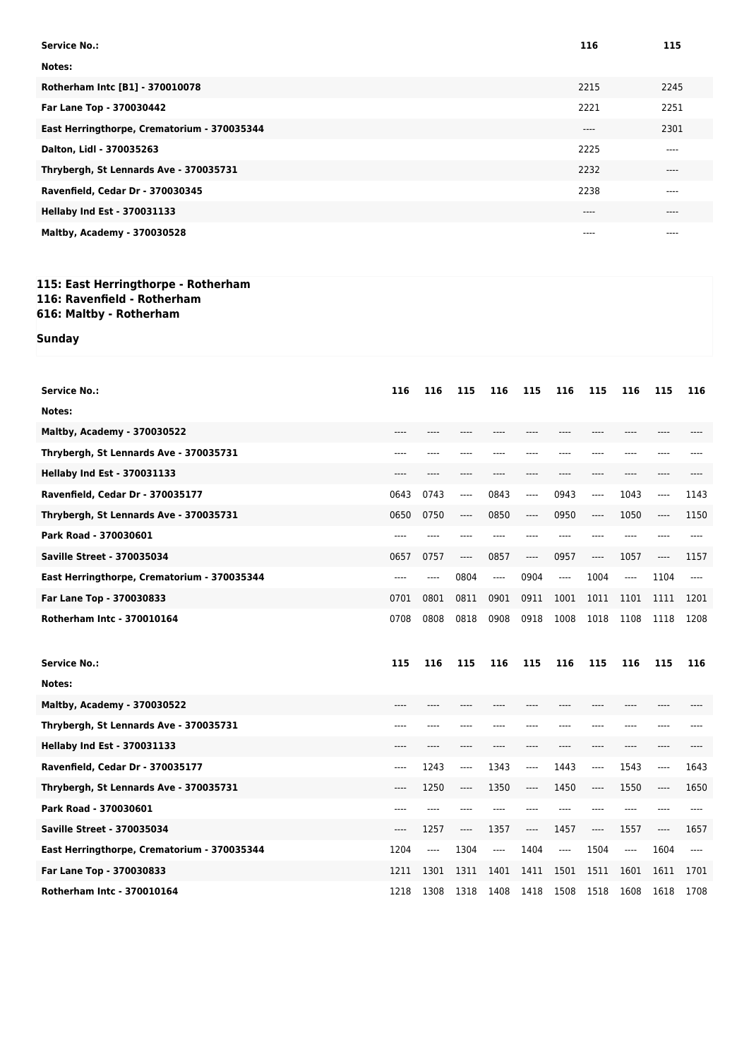| <b>Service No.:</b>                         | 116   | 115   |
|---------------------------------------------|-------|-------|
| Notes:                                      |       |       |
| Rotherham Intc [B1] - 370010078             | 2215  | 2245  |
| Far Lane Top - 370030442                    | 2221  | 2251  |
| East Herringthorpe, Crematorium - 370035344 | $---$ | 2301  |
| Dalton, Lidl - 370035263                    | 2225  | ----  |
| Thrybergh, St Lennards Ave - 370035731      | 2232  | $---$ |
| Ravenfield, Cedar Dr - 370030345            | 2238  | ----  |
| <b>Hellaby Ind Est - 370031133</b>          | ----  | $---$ |
| <b>Maltby, Academy - 370030528</b>          | ----  | ----  |

## **115: East Herringthorpe - Rotherham 116: Ravenfield - Rotherham 616: Maltby - Rotherham**

**Sunday**

| <b>Service No.:</b><br>116<br>116<br>115<br>116<br>116<br>115<br>116<br>115<br>Notes:                            |          |      |
|------------------------------------------------------------------------------------------------------------------|----------|------|
|                                                                                                                  | 115      | 116  |
|                                                                                                                  |          |      |
| Maltby, Academy - 370030522                                                                                      |          |      |
| Thrybergh, St Lennards Ave - 370035731<br>$---$<br>----<br>----<br>----<br>----<br>----<br>$---$                 | ----     |      |
| <b>Hellaby Ind Est - 370031133</b><br>----<br>----<br>----<br>----<br>----                                       | ----     |      |
| Ravenfield, Cedar Dr - 370035177<br>0643<br>0743<br>0843<br>0943<br>1043<br>$-----$<br>----<br>----              | ----     | 1143 |
| Thrybergh, St Lennards Ave - 370035731<br>0650<br>0750<br>0950<br>1050<br>0850<br>$---$<br>----<br>$---$         | ----     | 1150 |
| Park Road - 370030601<br>----<br>----<br>----<br>----<br>----<br>----<br>----<br>----                            | $---$    |      |
| <b>Saville Street - 370035034</b><br>0757<br>0657<br>0857<br>0957<br>1057<br>----<br>$-----$<br>----             | ----     | 1157 |
| East Herringthorpe, Crematorium - 370035344<br>0804<br>0904<br>1004<br>----<br>$---$<br>----<br>----<br>$---$    | 1104     | ---- |
| Far Lane Top - 370030833<br>0811<br>0911<br>1001<br>1011<br>0701<br>0801<br>0901<br>1101                         | 1111     | 1201 |
| Rotherham Intc - 370010164<br>0808<br>0818<br>0908<br>0918<br>1008<br>1018<br>0708<br>1108                       | 1118     | 1208 |
|                                                                                                                  |          |      |
|                                                                                                                  |          |      |
| 116<br>115<br><b>Service No.:</b><br>115<br>115<br>116<br>115<br>116<br>116                                      | 115      | 116  |
| Notes:                                                                                                           |          |      |
| <b>Maltby, Academy - 370030522</b>                                                                               |          |      |
| Thrybergh, St Lennards Ave - 370035731<br>----<br>----<br>----<br>----                                           |          |      |
| <b>Hellaby Ind Est - 370031133</b><br>----<br>----                                                               | ----     |      |
| Ravenfield, Cedar Dr - 370035177<br>1243<br>1543<br>1343<br>1443<br>$---$<br>----<br>----<br>$---$               | $\cdots$ | 1643 |
| Thrybergh, St Lennards Ave - 370035731<br>1250<br>1450<br>1550<br>1350<br>$---$<br>----<br>$---$<br>----         | ----     | 1650 |
| Park Road - 370030601<br>----<br>----<br>----<br>----                                                            | ----     |      |
| <b>Saville Street - 370035034</b><br>1257<br>1557<br>1357<br>1457<br>$---$<br>$---$<br>$---$<br>----             | $---$    | 1657 |
| East Herringthorpe, Crematorium - 370035344<br>1204<br>1304<br>1504<br>1404<br>----<br>----<br>$\cdots$<br>$---$ | 1604     |      |
| Far Lane Top - 370030833<br>1211<br>1411<br>1501<br>1511<br>1601<br>1301<br>1311<br>1401                         | 1611     | 1701 |